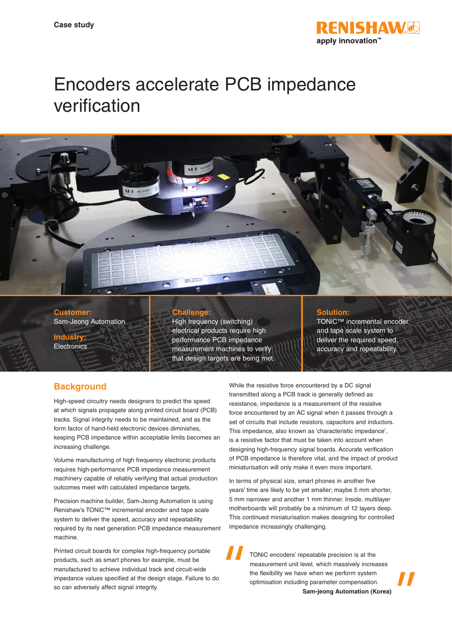

# Encoders accelerate PCB impedance verification



**Customer:** Sam-Jeong Automation

**Industry: Electronics** 

#### **Challenge:**

High frequency (switching) electrical products require high performance PCB impedance measurement machines to verify that design targets are being met.

#### **Solution:**

TONiC™ incremental encoder and tape scale system to deliver the required speed, accuracy and repeatability.

# **Background**

High-speed circuitry needs designers to predict the speed at which signals propagate along printed circuit board (PCB) tracks. Signal integrity needs to be maintained, and as the form factor of hand-held electronic devices diminishes, keeping PCB impedance within acceptable limits becomes an increasing challenge.

Volume manufacturing of high frequency electronic products requires high-performance PCB impedance measurement machinery capable of reliably verifying that actual production outcomes meet with calculated impedance targets.

Precision machine builder, Sam-Jeong Automation is using Renishaw's TONiC™ incremental encoder and tape scale system to deliver the speed, accuracy and repeatability required by its next generation PCB impedance measurement machine.

Printed circuit boards for complex high-frequency portable products, such as smart phones for example, must be manufactured to achieve individual track and circuit-wide impedance values specified at the design stage. Failure to do so can adversely affect signal integrity.

While the resistive force encountered by a DC signal transmitted along a PCB track is generally defined as resistance, impedance is a measurement of the resistive force encountered by an AC signal when it passes through a set of circuits that include resistors, capacitors and inductors. This impedance, also known as 'characteristic impedance', is a resistive factor that must be taken into account when designing high-frequency signal boards. Accurate verification of PCB impedance is therefore vital, and the impact of product miniaturisation will only make it even more important.

In terms of physical size, smart phones in another five years' time are likely to be yet smaller; maybe 5 mm shorter, 5 mm narrower and another 1 mm thinner. Inside, multilayer motherboards will probably be a minimum of 12 layers deep. This continued miniaturisation makes designing for controlled impedance increasingly challenging.

TONiC encoders' repeatable precision is at the measurement unit level, which massively increases the flexibility we have when we perform system optimisation including parameter compensation. **Sam-jeong Automation (Korea)**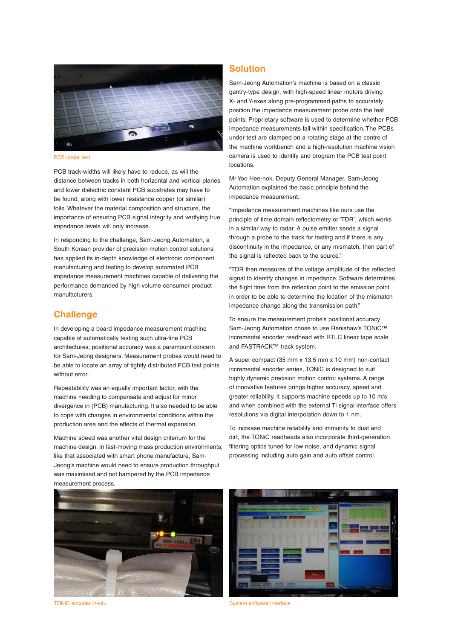

PCB under test

PCB track-widths will likely have to reduce, as will the distance between tracks in both horizontal and vertical planes and lower dielectric constant PCB substrates may have to be found, along with lower resistance copper (or similar) foils. Whatever the material composition and structure, the importance of ensuring PCB signal integrity and verifying true impedance levels will only increase.

In responding to the challenge, Sam-Jeong Automation, a South Korean provider of precision motion control solutions has applied its in-depth knowledge of electronic component manufacturing and testing to develop automated PCB impedance measurement machines capable of delivering the performance demanded by high volume consumer product manufacturers.

#### **Challenge**

In developing a board impedance measurement machine capable of automatically testing such ultra-fine PCB architectures, positional accuracy was a paramount concern for Sam-Jeong designers. Measurement probes would need to be able to locate an array of tightly distributed PCB test points without error.

Repeatability was an equally important factor, with the machine needing to compensate and adjust for minor divergence in (PCB) manufacturing. It also needed to be able to cope with changes in environmental conditions within the production area and the effects of thermal expansion.

Machine speed was another vital design criterium for the machine design. In fast-moving mass production environments, like that associated with smart phone manufacture, Sam-Jeong's machine would need to ensure production throughput was maximised and not hampered by the PCB impedance measurement process.

## **Solution**

Sam-Jeong Automation's machine is based on a classic gantry-type design, with high-speed linear motors driving X- and Y-axes along pre-programmed paths to accurately position the impedance measurement probe onto the test points. Proprietary software is used to determine whether PCB impedance measurements fall within specification. The PCBs under test are clamped on a rotating stage at the centre of the machine workbench and a high-resolution machine vision camera is used to identify and program the PCB test point locations.

Mr Yoo Hee-nok, Deputy General Manager, Sam-Jeong Automation explained the basic principle behind the impedance measurement:

"Impedance measurement machines like ours use the principle of time domain reflectometry or 'TDR', which works in a similar way to radar. A pulse emitter sends a signal through a probe to the track for testing and if there is any discontinuity in the impedance, or any mismatch, then part of the signal is reflected back to the source."

"TDR then measures of the voltage amplitude of the reflected signal to identify changes in impedance. Software determines the flight time from the reflection point to the emission point in order to be able to determine the location of the mismatch impedance change along the transmission path."

To ensure the measurement probe's positional accuracy Sam-Jeong Automation chose to use Renishaw's TONiC™ incremental encoder readhead with RTLC linear tape scale and FASTRACK™ track system.

A super compact (35 mm x 13.5 mm x 10 mm) non-contact incremental encoder series, TONiC is designed to suit highly dynamic precision motion control systems. A range of innovative features brings higher accuracy, speed and greater reliability. It supports machine speeds up to 10 m/s and when combined with the external Ti signal interface offers resolutions via digital interpolation down to 1 nm.

To increase machine reliability and immunity to dust and dirt, the TONiC readheads also incorporate third-generation filtering optics tuned for low noise, and dynamic signal processing including auto gain and auto offset control.





TONiC encoder in-situ System software interface